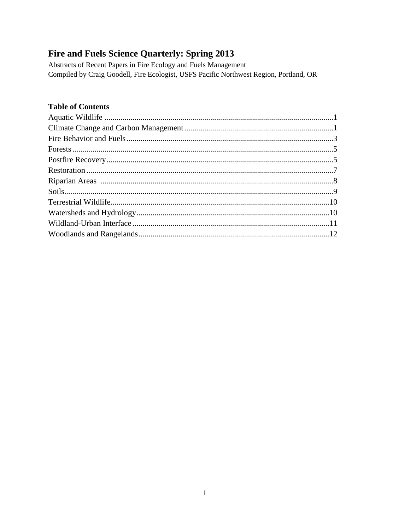## Fire and Fuels Science Quarterly: Spring 2013

Abstracts of Recent Papers in Fire Ecology and Fuels Management Compiled by Craig Goodell, Fire Ecologist, USFS Pacific Northwest Region, Portland, OR

## **Table of Contents**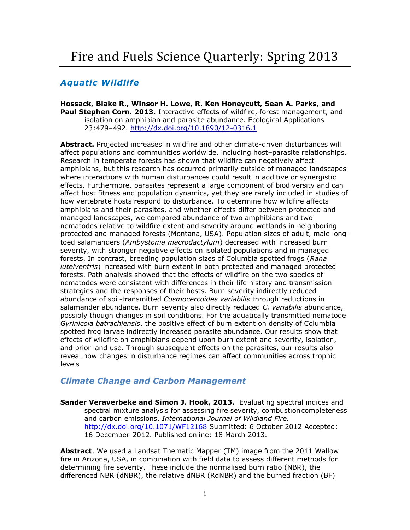# Fire and Fuels Science Quarterly: Spring 2013

## *Aquatic Wildlife*

**Hossack, Blake R., Winsor H. Lowe, R. Ken Honeycutt, Sean A. Parks, and Paul Stephen Corn. 2013.** Interactive effects of wildfire, forest management, and isolation on amphibian and parasite abundance. Ecological Applications 23:479–492.<http://dx.doi.org/10.1890/12-0316.1>

**Abstract.** Projected increases in wildfire and other climate-driven disturbances will affect populations and communities worldwide, including host–parasite relationships. Research in temperate forests has shown that wildfire can negatively affect amphibians, but this research has occurred primarily outside of managed landscapes where interactions with human disturbances could result in additive or synergistic effects. Furthermore, parasites represent a large component of biodiversity and can affect host fitness and population dynamics, yet they are rarely included in studies of how vertebrate hosts respond to disturbance. To determine how wildfire affects amphibians and their parasites, and whether effects differ between protected and managed landscapes, we compared abundance of two amphibians and two nematodes relative to wildfire extent and severity around wetlands in neighboring protected and managed forests (Montana, USA). Population sizes of adult, male longtoed salamanders (*Ambystoma macrodactylum*) decreased with increased burn severity, with stronger negative effects on isolated populations and in managed forests. In contrast, breeding population sizes of Columbia spotted frogs (*Rana luteiventris*) increased with burn extent in both protected and managed protected forests. Path analysis showed that the effects of wildfire on the two species of nematodes were consistent with differences in their life history and transmission strategies and the responses of their hosts. Burn severity indirectly reduced abundance of soil-transmitted *Cosmocercoides variabilis* through reductions in salamander abundance. Burn severity also directly reduced *C. variabilis* abundance, possibly though changes in soil conditions. For the aquatically transmitted nematode *Gyrinicola batrachiensis*, the positive effect of burn extent on density of Columbia spotted frog larvae indirectly increased parasite abundance. Our results show that effects of wildfire on amphibians depend upon burn extent and severity, isolation, and prior land use. Through subsequent effects on the parasites, our results also reveal how changes in disturbance regimes can affect communities across trophic levels

## *Climate Change and Carbon Management*

**Sander Veraverbeke and Simon J. Hook, 2013.** Evaluating spectral indices and spectral mixture analysis for assessing fire severity, combustioncompleteness and carbon emissions. *International Journal of Wildland Fire.* <http://dx.doi.org/10.1071/WF12168> Submitted: 6 October 2012 Accepted: 16 December 2012. Published online: 18 March 2013.

**Abstract**. We used a Landsat Thematic Mapper (TM) image from the 2011 Wallow fire in Arizona, USA, in combination with field data to assess different methods for determining fire severity. These include the normalised burn ratio (NBR), the differenced NBR (dNBR), the relative dNBR (RdNBR) and the burned fraction (BF)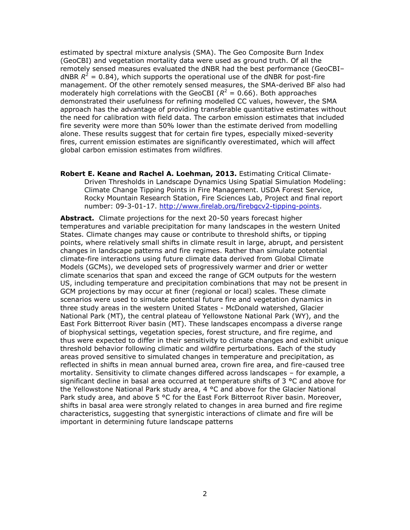estimated by spectral mixture analysis (SMA). The Geo Composite Burn Index (GeoCBI) and vegetation mortality data were used as ground truth. Of all the remotely sensed measures evaluated the dNBR had the best performance (GeoCBI– dNBR  $R^2 = 0.84$ ), which supports the operational use of the dNBR for post-fire management. Of the other remotely sensed measures, the SMA-derived BF also had moderately high correlations with the GeoCBI ( $R^2 = 0.66$ ). Both approaches demonstrated their usefulness for refining modelled CC values, however, the SMA approach has the advantage of providing transferable quantitative estimates without the need for calibration with field data. The carbon emission estimates that included fire severity were more than 50% lower than the estimate derived from modelling alone. These results suggest that for certain fire types, especially mixed-severity fires, current emission estimates are significantly overestimated, which will affect global carbon emission estimates from wildfires.

**Robert E. Keane and Rachel A. Loehman, 2013.** Estimating Critical Climate-Driven Thresholds in Landscape Dynamics Using Spatial Simulation Modeling: Climate Change Tipping Points in Fire Management. USDA Forest Service, Rocky Mountain Research Station, Fire Sciences Lab, Project and final report number: 09-3-01-17. [http://www.firelab.org/firebgcv2-tipping-points.](http://www.firelab.org/firebgcv2-tipping-points)

**Abstract.** Climate projections for the next 20-50 years forecast higher temperatures and variable precipitation for many landscapes in the western United States. Climate changes may cause or contribute to threshold shifts, or tipping points, where relatively small shifts in climate result in large, abrupt, and persistent changes in landscape patterns and fire regimes. Rather than simulate potential climate-fire interactions using future climate data derived from Global Climate Models (GCMs), we developed sets of progressively warmer and drier or wetter climate scenarios that span and exceed the range of GCM outputs for the western US, including temperature and precipitation combinations that may not be present in GCM projections by may occur at finer (regional or local) scales. These climate scenarios were used to simulate potential future fire and vegetation dynamics in three study areas in the western United States - McDonald watershed, Glacier National Park (MT), the central plateau of Yellowstone National Park (WY), and the East Fork Bitterroot River basin (MT). These landscapes encompass a diverse range of biophysical settings, vegetation species, forest structure, and fire regime, and thus were expected to differ in their sensitivity to climate changes and exhibit unique threshold behavior following climatic and wildfire perturbations. Each of the study areas proved sensitive to simulated changes in temperature and precipitation, as reflected in shifts in mean annual burned area, crown fire area, and fire-caused tree mortality. Sensitivity to climate changes differed across landscapes – for example, a significant decline in basal area occurred at temperature shifts of  $3 \degree C$  and above for the Yellowstone National Park study area, 4 °C and above for the Glacier National Park study area, and above 5 °C for the East Fork Bitterroot River basin. Moreover, shifts in basal area were strongly related to changes in area burned and fire regime characteristics, suggesting that synergistic interactions of climate and fire will be important in determining future landscape patterns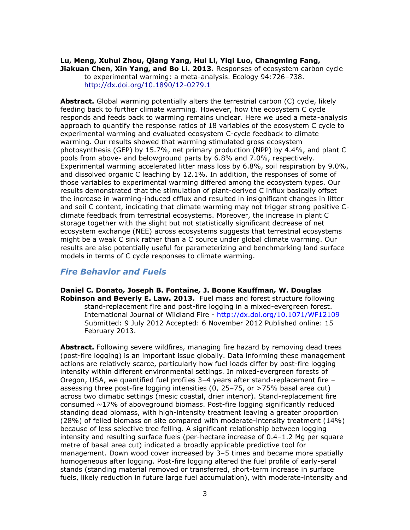#### **Lu, Meng, Xuhui Zhou, Qiang Yang, Hui Li, Yiqi Luo, Changming Fang, Jiakuan Chen, Xin Yang, and Bo Li. 2013.** Responses of ecosystem carbon cycle to experimental warming: a meta-analysis. Ecology 94:726–738. <http://dx.doi.org/10.1890/12-0279.1>

**Abstract.** Global warming potentially alters the terrestrial carbon (C) cycle, likely feeding back to further climate warming. However, how the ecosystem C cycle responds and feeds back to warming remains unclear. Here we used a meta-analysis approach to quantify the response ratios of 18 variables of the ecosystem C cycle to experimental warming and evaluated ecosystem C-cycle feedback to climate warming. Our results showed that warming stimulated gross ecosystem photosynthesis (GEP) by 15.7%, net primary production (NPP) by 4.4%, and plant C pools from above- and belowground parts by 6.8% and 7.0%, respectively. Experimental warming accelerated litter mass loss by 6.8%, soil respiration by 9.0%, and dissolved organic C leaching by 12.1%. In addition, the responses of some of those variables to experimental warming differed among the ecosystem types. Our results demonstrated that the stimulation of plant-derived C influx basically offset the increase in warming-induced efflux and resulted in insignificant changes in litter and soil C content, indicating that climate warming may not trigger strong positive Cclimate feedback from terrestrial ecosystems. Moreover, the increase in plant C storage together with the slight but not statistically significant decrease of net ecosystem exchange (NEE) across ecosystems suggests that terrestrial ecosystems might be a weak C sink rather than a C source under global climate warming. Our results are also potentially useful for parameterizing and benchmarking land surface models in terms of C cycle responses to climate warming.

## *Fire Behavior and Fuels*

**Daniel C. Donato***,* **Joseph B. Fontaine***,* **J. Boone Kauffman***,* **W. Douglas Robinson and Beverly E. Law. 2013.** Fuel mass and forest structure following stand-replacement fire and post-fire logging in a mixed-evergreen forest. International Journal of Wildland Fire - <http://dx.doi.org/10.1071/WF12109> Submitted: 9 July 2012 Accepted: 6 November 2012 Published online: 15 February 2013.

**Abstract.** Following severe wildfires, managing fire hazard by removing dead trees (post-fire logging) is an important issue globally. Data informing these management actions are relatively scarce, particularly how fuel loads differ by post-fire logging intensity within different environmental settings. In mixed-evergreen forests of Oregon, USA, we quantified fuel profiles 3–4 years after stand-replacement fire – assessing three post-fire logging intensities (0, 25–75, or >75% basal area cut) across two climatic settings (mesic coastal, drier interior). Stand-replacement fire consumed ~17% of aboveground biomass. Post-fire logging significantly reduced standing dead biomass, with high-intensity treatment leaving a greater proportion (28%) of felled biomass on site compared with moderate-intensity treatment (14%) because of less selective tree felling. A significant relationship between logging intensity and resulting surface fuels (per-hectare increase of 0.4–1.2 Mg per square metre of basal area cut) indicated a broadly applicable predictive tool for management. Down wood cover increased by 3–5 times and became more spatially homogeneous after logging. Post-fire logging altered the fuel profile of early-seral stands (standing material removed or transferred, short-term increase in surface fuels, likely reduction in future large fuel accumulation), with moderate-intensity and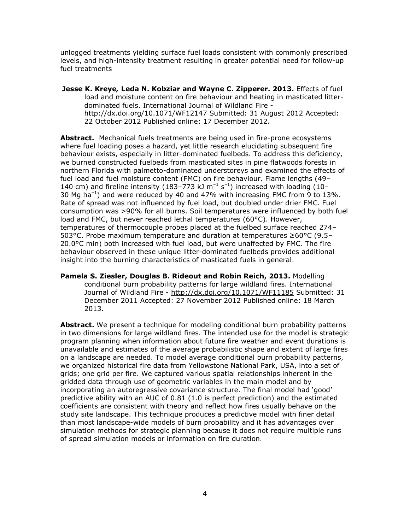unlogged treatments yielding surface fuel loads consistent with commonly prescribed levels, and high-intensity treatment resulting in greater potential need for follow-up fuel treatments

**Jesse K. Kreye***,* **Leda N. Kobziar and Wayne C. Zipperer. 2013.** Effects of fuel load and moisture content on fire behaviour and heating in masticated litterdominated fuels. International Journal of Wildland Fire http://dx.doi.org/10.1071/WF12147 Submitted: 31 August 2012 Accepted: 22 October 2012 Published online: 17 December 2012.

**Abstract.** Mechanical fuels treatments are being used in fire-prone ecosystems where fuel loading poses a hazard, yet little research elucidating subsequent fire behaviour exists, especially in litter-dominated fuelbeds. To address this deficiency, we burned constructed fuelbeds from masticated sites in pine flatwoods forests in northern Florida with palmetto-dominated understoreys and examined the effects of fuel load and fuel moisture content (FMC) on fire behaviour. Flame lengths (49– 140 cm) and fireline intensity (183–773 kJ m<sup>-1</sup> s<sup>-1</sup>) increased with loading (10– 30 Mg ha<sup>-1</sup>) and were reduced by 40 and 47% with increasing FMC from 9 to 13%. Rate of spread was not influenced by fuel load, but doubled under drier FMC. Fuel consumption was >90% for all burns. Soil temperatures were influenced by both fuel load and FMC, but never reached lethal temperatures (60°C). However, temperatures of thermocouple probes placed at the fuelbed surface reached 274– 503°C. Probe maximum temperature and duration at temperatures ≥60°C (9.5–  $20.0$ °C min) both increased with fuel load, but were unaffected by FMC. The fire behaviour observed in these unique litter-dominated fuelbeds provides additional insight into the burning characteristics of masticated fuels in general.

**Pamela S. Ziesler, Douglas B. Rideout and Robin Reich, 2013.** Modelling conditional burn probability patterns for large wildland fires. International Journal of Wildland Fire - <http://dx.doi.org/10.1071/WF11185> Submitted: 31 December 2011 Accepted: 27 November 2012 Published online: 18 March 2013.

**Abstract.** We present a technique for modeling conditional burn probability patterns in two dimensions for large wildland fires. The intended use for the model is strategic program planning when information about future fire weather and event durations is unavailable and estimates of the average probabilistic shape and extent of large fires on a landscape are needed. To model average conditional burn probability patterns, we organized historical fire data from Yellowstone National Park, USA, into a set of grids; one grid per fire. We captured various spatial relationships inherent in the gridded data through use of geometric variables in the main model and by incorporating an autoregressive covariance structure. The final model had 'good' predictive ability with an AUC of 0.81 (1.0 is perfect prediction) and the estimated coefficients are consistent with theory and reflect how fires usually behave on the study site landscape. This technique produces a predictive model with finer detail than most landscape-wide models of burn probability and it has advantages over simulation methods for strategic planning because it does not require multiple runs of spread simulation models or information on fire duration.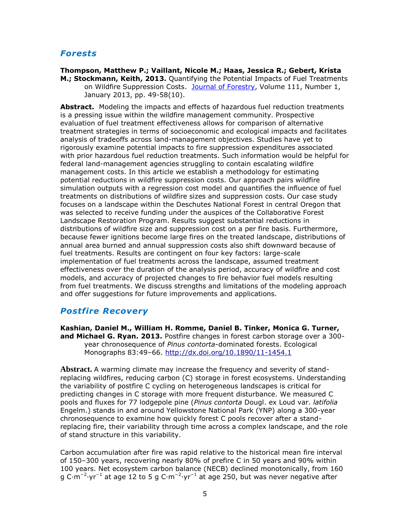## *Forests*

**Thompson, Matthew P.; Vaillant, Nicole M.; Haas, Jessica R.; Gebert, Krista M.; Stockmann, Keith, 2013.** Quantifying the Potential Impacts of Fuel Treatments on Wildfire Suppression Costs. [Journal of Forestry,](http://www.ingentaconnect.com/content/saf/jof) Volume 111, Number 1, January 2013, pp. 49-58(10).

**Abstract.** Modeling the impacts and effects of hazardous fuel reduction treatments is a pressing issue within the wildfire management community. Prospective evaluation of fuel treatment effectiveness allows for comparison of alternative treatment strategies in terms of socioeconomic and ecological impacts and facilitates analysis of tradeoffs across land-management objectives. Studies have yet to rigorously examine potential impacts to fire suppression expenditures associated with prior hazardous fuel reduction treatments. Such information would be helpful for federal land-management agencies struggling to contain escalating wildfire management costs. In this article we establish a methodology for estimating potential reductions in wildfire suppression costs. Our approach pairs wildfire simulation outputs with a regression cost model and quantifies the influence of fuel treatments on distributions of wildfire sizes and suppression costs. Our case study focuses on a landscape within the Deschutes National Forest in central Oregon that was selected to receive funding under the auspices of the Collaborative Forest Landscape Restoration Program. Results suggest substantial reductions in distributions of wildfire size and suppression cost on a per fire basis. Furthermore, because fewer ignitions become large fires on the treated landscape, distributions of annual area burned and annual suppression costs also shift downward because of fuel treatments. Results are contingent on four key factors: large-scale implementation of fuel treatments across the landscape, assumed treatment effectiveness over the duration of the analysis period, accuracy of wildfire and cost models, and accuracy of projected changes to fire behavior fuel models resulting from fuel treatments. We discuss strengths and limitations of the modeling approach and offer suggestions for future improvements and applications.

## *Postfire Recovery*

**Kashian, Daniel M., William H. Romme, Daniel B. Tinker, Monica G. Turner, and Michael G. Ryan. 2013.** Postfire changes in forest carbon storage over a 300 year chronosequence of *Pinus contorta*-dominated forests. Ecological Monographs 83:49–66.<http://dx.doi.org/10.1890/11-1454.1>

**Abstract.** A warming climate may increase the frequency and severity of standreplacing wildfires, reducing carbon (C) storage in forest ecosystems. Understanding the variability of postfire C cycling on heterogeneous landscapes is critical for predicting changes in C storage with more frequent disturbance. We measured C pools and fluxes for 77 lodgepole pine (*Pinus contorta* Dougl. ex Loud var. *latifolia* Engelm.) stands in and around Yellowstone National Park (YNP) along a 300-year chronosequence to examine how quickly forest C pools recover after a standreplacing fire, their variability through time across a complex landscape, and the role of stand structure in this variability.

Carbon accumulation after fire was rapid relative to the historical mean fire interval of 150–300 years, recovering nearly 80% of prefire C in 50 years and 90% within 100 years. Net ecosystem carbon balance (NECB) declined monotonically, from 160 g C·m<sup>-2</sup>·yr<sup>-1</sup> at age 12 to 5 g C·m<sup>-2</sup>·yr<sup>-1</sup> at age 250, but was never negative after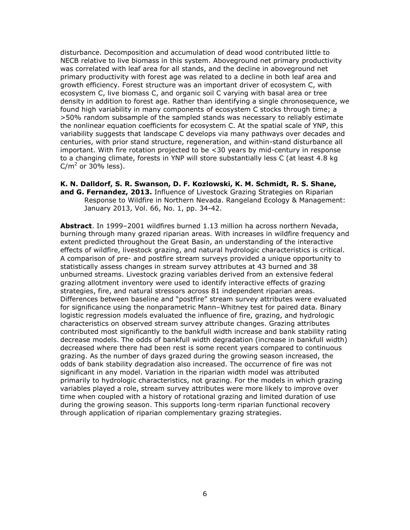disturbance. Decomposition and accumulation of dead wood contributed little to NECB relative to live biomass in this system. Aboveground net primary productivity was correlated with leaf area for all stands, and the decline in aboveground net primary productivity with forest age was related to a decline in both leaf area and growth efficiency. Forest structure was an important driver of ecosystem C, with ecosystem C, live biomass C, and organic soil C varying with basal area or tree density in addition to forest age. Rather than identifying a single chronosequence, we found high variability in many components of ecosystem C stocks through time; a >50% random subsample of the sampled stands was necessary to reliably estimate the nonlinear equation coefficients for ecosystem C. At the spatial scale of YNP, this variability suggests that landscape C develops via many pathways over decades and centuries, with prior stand structure, regeneration, and within-stand disturbance all important. With fire rotation projected to be <30 years by mid-century in response to a changing climate, forests in YNP will store substantially less C (at least 4.8 kg  $C/m<sup>2</sup>$  or 30% less).

#### **K. N. Dalldorf, S. R. Swanson, D. F. Kozlowski, K. M. Schmidt, R. S. Shane, and G. Fernandez, 2013.** Influence of Livestock Grazing Strategies on Riparian Response to Wildfire in Northern Nevada. Rangeland Ecology & Management: January 2013, Vol. 66, No. 1, pp. 34-42.

**Abstract**. In 1999–2001 wildfires burned 1.13 million ha across northern Nevada, burning through many grazed riparian areas. With increases in wildfire frequency and extent predicted throughout the Great Basin, an understanding of the interactive effects of wildfire, livestock grazing, and natural hydrologic characteristics is critical. A comparison of pre- and postfire stream surveys provided a unique opportunity to statistically assess changes in stream survey attributes at 43 burned and 38 unburned streams. Livestock grazing variables derived from an extensive federal grazing allotment inventory were used to identify interactive effects of grazing strategies, fire, and natural stressors across 81 independent riparian areas. Differences between baseline and "postfire" stream survey attributes were evaluated for significance using the nonparametric Mann–Whitney test for paired data. Binary logistic regression models evaluated the influence of fire, grazing, and hydrologic characteristics on observed stream survey attribute changes. Grazing attributes contributed most significantly to the bankfull width increase and bank stability rating decrease models. The odds of bankfull width degradation (increase in bankfull width) decreased where there had been rest is some recent years compared to continuous grazing. As the number of days grazed during the growing season increased, the odds of bank stability degradation also increased. The occurrence of fire was not significant in any model. Variation in the riparian width model was attributed primarily to hydrologic characteristics, not grazing. For the models in which grazing variables played a role, stream survey attributes were more likely to improve over time when coupled with a history of rotational grazing and limited duration of use during the growing season. This supports long-term riparian functional recovery through application of riparian complementary grazing strategies.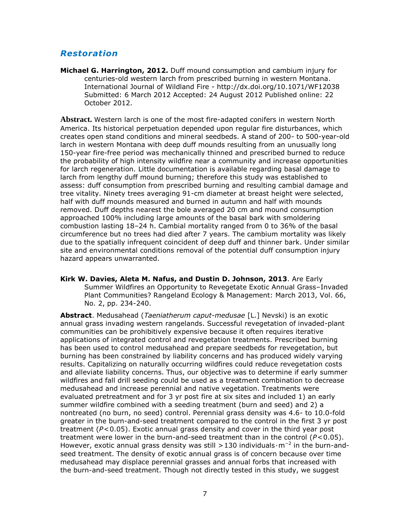## *Restoration*

**Michael G. Harrington, 2012.** Duff mound consumption and cambium injury for centuries-old western larch from prescribed burning in western Montana. International Journal of Wildland Fire - http://dx.doi.org/10.1071/WF12038 Submitted: 6 March 2012 Accepted: 24 August 2012 Published online: 22 October 2012.

**Abstract.** Western larch is one of the most fire-adapted conifers in western North America. Its historical perpetuation depended upon regular fire disturbances, which creates open stand conditions and mineral seedbeds. A stand of 200- to 500-year-old larch in western Montana with deep duff mounds resulting from an unusually long 150-year fire-free period was mechanically thinned and prescribed burned to reduce the probability of high intensity wildfire near a community and increase opportunities for larch regeneration. Little documentation is available regarding basal damage to larch from lengthy duff mound burning; therefore this study was established to assess: duff consumption from prescribed burning and resulting cambial damage and tree vitality. Ninety trees averaging 91-cm diameter at breast height were selected, half with duff mounds measured and burned in autumn and half with mounds removed. Duff depths nearest the bole averaged 20 cm and mound consumption approached 100% including large amounts of the basal bark with smoldering combustion lasting 18–24 h. Cambial mortality ranged from 0 to 36% of the basal circumference but no trees had died after 7 years. The cambium mortality was likely due to the spatially infrequent coincident of deep duff and thinner bark. Under similar site and environmental conditions removal of the potential duff consumption injury hazard appears unwarranted.

**Kirk W. Davies, Aleta M. Nafus, and Dustin D. Johnson, 2013**. Are Early Summer Wildfires an Opportunity to Revegetate Exotic Annual Grass–Invaded Plant Communities? Rangeland Ecology & Management: March 2013, Vol. 66, No. 2, pp. 234-240.

**Abstract**. Medusahead (*Taeniatherum caput-medusae* [L.] Nevski) is an exotic annual grass invading western rangelands. Successful revegetation of invaded-plant communities can be prohibitively expensive because it often requires iterative applications of integrated control and revegetation treatments. Prescribed burning has been used to control medusahead and prepare seedbeds for revegetation, but burning has been constrained by liability concerns and has produced widely varying results. Capitalizing on naturally occurring wildfires could reduce revegetation costs and alleviate liability concerns. Thus, our objective was to determine if early summer wildfires and fall drill seeding could be used as a treatment combination to decrease medusahead and increase perennial and native vegetation. Treatments were evaluated pretreatment and for 3 yr post fire at six sites and included 1) an early summer wildfire combined with a seeding treatment (burn and seed) and 2) a nontreated (no burn, no seed) control. Perennial grass density was 4.6- to 10.0-fold greater in the burn-and-seed treatment compared to the control in the first 3 yr post treatment (*P*<0.05). Exotic annual grass density and cover in the third year post treatment were lower in the burn-and-seed treatment than in the control (*P*<0.05). However, exotic annual grass density was still >130 individuals·m−2 in the burn-andseed treatment. The density of exotic annual grass is of concern because over time medusahead may displace perennial grasses and annual forbs that increased with the burn-and-seed treatment. Though not directly tested in this study, we suggest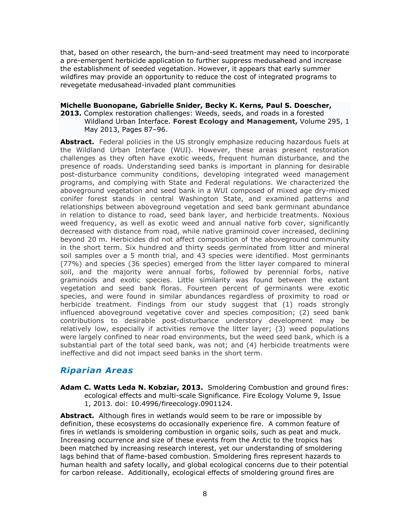that, based on other research, the burn-and-seed treatment may need to incorporate a pre-emergent herbicide application to further suppress medusahead and increase the establishment of seeded vegetation. However, it appears that early summer wildfires may provide an opportunity to reduce the cost of integrated programs to revegetate medusahead-invaded plant communities

#### **[Michelle Buonopane,](http://www.sciencedirect.com/science/article/pii/S0378112713000406) [Gabrielle Snider,](http://www.sciencedirect.com/science/article/pii/S0378112713000406) [Becky K. Kerns, Paul S. Doescher,](http://www.sciencedirect.com/science/article/pii/S0378112713000406)**

**2013.** Complex restoration challenges: Weeds, seeds, and roads in a forested Wildland Urban Interface. **Forest Ecology and [Management,](http://www.sciencedirect.com/science/journal/03781127)** [Volume 295,](http://www.sciencedirect.com/science/journal/03781127/295/supp/C) 1 May 2013, Pages 87–96.

**Abstract.** Federal policies in the US strongly emphasize reducing hazardous fuels at the Wildland Urban Interface (WUI). However, these areas present restoration challenges as they often have exotic weeds, frequent human disturbance, and the presence of roads. Understanding seed banks is important in planning for desirable post-disturbance community conditions, developing integrated weed management programs, and complying with State and Federal regulations. We characterized the aboveground vegetation and seed bank in a WUI composed of mixed age dry-mixed conifer forest stands in central Washington State, and examined patterns and relationships between aboveground vegetation and seed bank germinant abundance in relation to distance to road, seed bank layer, and herbicide treatments. Noxious weed frequency, as well as exotic weed and annual native forb cover, significantly decreased with distance from road, while native graminoid cover increased, declining beyond 20 m. Herbicides did not affect composition of the aboveground community in the short term. Six hundred and thirty seeds germinated from litter and mineral soil samples over a 5 month trial, and 43 species were identified. Most germinants (77%) and species (36 species) emerged from the litter layer compared to mineral soil, and the majority were annual forbs, followed by perennial forbs, native graminoids and exotic species. Little similarity was found between the extant vegetation and seed bank floras. Fourteen percent of germinants were exotic species, and were found in similar abundances regardless of proximity to road or herbicide treatment. Findings from our study suggest that (1) roads strongly influenced aboveground vegetative cover and species composition; (2) seed bank contributions to desirable post-disturbance understory development may be relatively low, especially if activities remove the litter layer; (3) weed populations were largely confined to near road environments, but the weed seed bank, which is a substantial part of the total seed bank, was not; and (4) herbicide treatments were ineffective and did not impact seed banks in the short term.

## *Riparian Areas*

**Adam C. Watts Leda N. Kobziar, 2013.** Smoldering Combustion and ground fires: ecological effects and multi-scale Significance. Fire Ecology Volume 9, Issue 1, 2013. doi: 10.4996/fireecology.0901124.

**Abstract.** Although fires in wetlands would seem to be rare or impossible by definition, these ecosystems do occasionally experience fire. A common feature of fires in wetlands is smoldering combustion in organic soils, such as peat and muck. Increasing occurrence and size of these events from the Arctic to the tropics has been matched by increasing research interest, yet our understanding of smoldering lags behind that of flame-based combustion. Smoldering fires represent hazards to human health and safety locally, and global ecological concerns due to their potential for carbon release. Additionally, ecological effects of smoldering ground fires are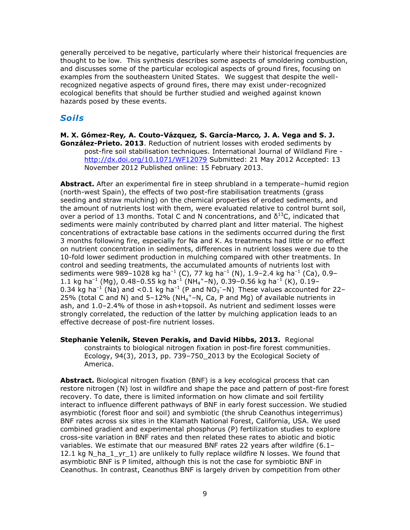generally perceived to be negative, particularly where their historical frequencies are thought to be low. This synthesis describes some aspects of smoldering combustion, and discusses some of the particular ecological aspects of ground fires, focusing on examples from the southeastern United States. We suggest that despite the wellrecognized negative aspects of ground fires, there may exist under-recognized ecological benefits that should be further studied and weighed against known hazards posed by these events.

## *Soils*

#### **M. X. Gómez-Rey***,* **A. Couto-Vázquez***,* **S. García-Marco***,* **J. A. Vega and S. J.**

**González-Prieto. 2013**. Reduction of nutrient losses with eroded sediments by post-fire soil stabilisation techniques. International Journal of Wildland Fire <http://dx.doi.org/10.1071/WF12079> Submitted: 21 May 2012 Accepted: 13 November 2012 Published online: 15 February 2013.

**Abstract.** After an experimental fire in steep shrubland in a temperate–humid region (north-west Spain), the effects of two post-fire stabilisation treatments (grass seeding and straw mulching) on the chemical properties of eroded sediments, and the amount of nutrients lost with them, were evaluated relative to control burnt soil, over a period of 13 months. Total C and N concentrations, and  $\delta^{13}$ C, indicated that sediments were mainly contributed by charred plant and litter material. The highest concentrations of extractable base cations in the sediments occurred during the first 3 months following fire, especially for Na and K. As treatments had little or no effect on nutrient concentration in sediments, differences in nutrient losses were due to the 10-fold lower sediment production in mulching compared with other treatments. In control and seeding treatments, the accumulated amounts of nutrients lost with sediments were 989–1028 kg ha<sup>-1</sup> (C), 77 kg ha<sup>-1</sup> (N), 1.9–2.4 kg ha<sup>-1</sup> (Ca), 0.9– 1.1 kg ha<sup>-1</sup> (Mg), 0.48-0.55 kg ha<sup>-1</sup> (NH<sub>4</sub><sup>+</sup>-N), 0.39-0.56 kg ha<sup>-1</sup> (K), 0.19-0.34 kg ha<sup>-1</sup> (Na) and <0.1 kg ha<sup>-1</sup> (P and NO<sub>3</sub><sup>-</sup>-N). These values accounted for 22-25% (total C and N) and  $5-12\%$  (NH<sub>4</sub><sup>+</sup>-N, Ca, P and Mg) of available nutrients in ash, and 1.0–2.4% of those in ash+topsoil. As nutrient and sediment losses were strongly correlated, the reduction of the latter by mulching application leads to an effective decrease of post-fire nutrient losses.

#### **Stephanie Yelenik, Steven Perakis, and David Hibbs, 2013.** Regional

constraints to biological nitrogen fixation in post-fire forest communities. Ecology, 94(3), 2013, pp. 739–750\_2013 by the Ecological Society of America.

**Abstract.** Biological nitrogen fixation (BNF) is a key ecological process that can restore nitrogen (N) lost in wildfire and shape the pace and pattern of post-fire forest recovery. To date, there is limited information on how climate and soil fertility interact to influence different pathways of BNF in early forest succession. We studied asymbiotic (forest floor and soil) and symbiotic (the shrub Ceanothus integerrimus) BNF rates across six sites in the Klamath National Forest, California, USA. We used combined gradient and experimental phosphorus (P) fertilization studies to explore cross-site variation in BNF rates and then related these rates to abiotic and biotic variables. We estimate that our measured BNF rates 22 years after wildfire (6.1– 12.1 kg N\_ha\_1\_yr\_1) are unlikely to fully replace wildfire N losses. We found that asymbiotic BNF is P limited, although this is not the case for symbiotic BNF in Ceanothus. In contrast, Ceanothus BNF is largely driven by competition from other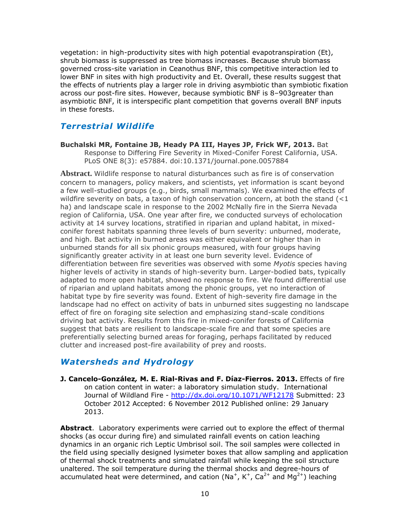vegetation: in high-productivity sites with high potential evapotranspiration (Et), shrub biomass is suppressed as tree biomass increases. Because shrub biomass governed cross-site variation in Ceanothus BNF, this competitive interaction led to lower BNF in sites with high productivity and Et. Overall, these results suggest that the effects of nutrients play a larger role in driving asymbiotic than symbiotic fixation across our post-fire sites. However, because symbiotic BNF is 8–903greater than asymbiotic BNF, it is interspecific plant competition that governs overall BNF inputs in these forests.

## *Terrestrial Wildlife*

**Buchalski MR, Fontaine JB, Heady PA III, Hayes JP, Frick WF, 2013.** Bat Response to Differing Fire Severity in Mixed-Conifer Forest California, USA. PLoS ONE 8(3): e57884. doi:10.1371/journal.pone.0057884

**Abstract.** Wildlife response to natural disturbances such as fire is of conservation concern to managers, policy makers, and scientists, yet information is scant beyond a few well-studied groups (e.g., birds, small mammals). We examined the effects of wildfire severity on bats, a taxon of high conservation concern, at both the stand  $\langle$ <1 ha) and landscape scale in response to the 2002 McNally fire in the Sierra Nevada region of California, USA. One year after fire, we conducted surveys of echolocation activity at 14 survey locations, stratified in riparian and upland habitat, in mixedconifer forest habitats spanning three levels of burn severity: unburned, moderate, and high. Bat activity in burned areas was either equivalent or higher than in unburned stands for all six phonic groups measured, with four groups having significantly greater activity in at least one burn severity level. Evidence of differentiation between fire severities was observed with some *Myotis* species having higher levels of activity in stands of high-severity burn. Larger-bodied bats, typically adapted to more open habitat, showed no response to fire. We found differential use of riparian and upland habitats among the phonic groups, yet no interaction of habitat type by fire severity was found. Extent of high-severity fire damage in the landscape had no effect on activity of bats in unburned sites suggesting no landscape effect of fire on foraging site selection and emphasizing stand-scale conditions driving bat activity. Results from this fire in mixed-conifer forests of California suggest that bats are resilient to landscape-scale fire and that some species are preferentially selecting burned areas for foraging, perhaps facilitated by reduced clutter and increased post-fire availability of prey and roosts.

## *Watersheds and Hydrology*

**J. Cancelo-González***,* **M. E. Rial-Rivas and F. Díaz-Fierros. 2013.** Effects of fire on cation content in water: a laboratory simulation study. International Journal of Wildland Fire - <http://dx.doi.org/10.1071/WF12178> Submitted: 23 October 2012 Accepted: 6 November 2012 Published online: 29 January 2013.

**Abstract**. Laboratory experiments were carried out to explore the effect of thermal shocks (as occur during fire) and simulated rainfall events on cation leaching dynamics in an organic rich Leptic Umbrisol soil. The soil samples were collected in the field using specially designed lysimeter boxes that allow sampling and application of thermal shock treatments and simulated rainfall while keeping the soil structure unaltered. The soil temperature during the thermal shocks and degree-hours of accumulated heat were determined, and cation (Na<sup>+</sup>, K<sup>+</sup>, Ca<sup>2+</sup> and Mg<sup>2+</sup>) leaching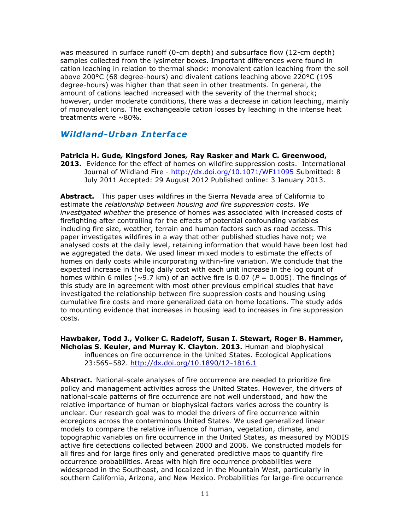was measured in surface runoff (0-cm depth) and subsurface flow (12-cm depth) samples collected from the lysimeter boxes. Important differences were found in cation leaching in relation to thermal shock: monovalent cation leaching from the soil above 200°C (68 degree-hours) and divalent cations leaching above 220°C (195 degree-hours) was higher than that seen in other treatments. In general, the amount of cations leached increased with the severity of the thermal shock; however, under moderate conditions, there was a decrease in cation leaching, mainly of monovalent ions. The exchangeable cation losses by leaching in the intense heat treatments were ~80%.

## *Wildland-Urban Interface*

**Patricia H. Gude***,* **Kingsford Jones***,* **Ray Rasker and Mark C. Greenwood,** 

**2013.** Evidence for the effect of homes on wildfire suppression costs. International Journal of Wildland Fire - <http://dx.doi.org/10.1071/WF11095> Submitted: 8 July 2011 Accepted: 29 August 2012 Published online: 3 January 2013.

**Abstract.** This paper uses wildfires in the Sierra Nevada area of California to estimate the *relationship between housing and fire suppression costs. We investigated whether* the presence of homes was associated with increased costs of firefighting after controlling for the effects of potential confounding variables including fire size, weather, terrain and human factors such as road access. This paper investigates wildfires in a way that other published studies have not; we analysed costs at the daily level, retaining information that would have been lost had we aggregated the data. We used linear mixed models to estimate the effects of homes on daily costs while incorporating within-fire variation. We conclude that the expected increase in the log daily cost with each unit increase in the log count of homes within 6 miles ( $\sim$ 9.7 km) of an active fire is 0.07 ( $P = 0.005$ ). The findings of this study are in agreement with most other previous empirical studies that have investigated the relationship between fire suppression costs and housing using cumulative fire costs and more generalized data on home locations. The study adds to mounting evidence that increases in housing lead to increases in fire suppression costs.

#### **Hawbaker, Todd J., Volker C. Radeloff, Susan I. Stewart, Roger B. Hammer, Nicholas S. Keuler, and Murray K. Clayton. 2013.** Human and biophysical influences on fire occurrence in the United States. Ecological Applications 23:565–582.<http://dx.doi.org/10.1890/12-1816.1>

**Abstract.** National-scale analyses of fire occurrence are needed to prioritize fire policy and management activities across the United States. However, the drivers of national-scale patterns of fire occurrence are not well understood, and how the relative importance of human or biophysical factors varies across the country is unclear. Our research goal was to model the drivers of fire occurrence within ecoregions across the conterminous United States. We used generalized linear models to compare the relative influence of human, vegetation, climate, and topographic variables on fire occurrence in the United States, as measured by MODIS active fire detections collected between 2000 and 2006. We constructed models for all fires and for large fires only and generated predictive maps to quantify fire occurrence probabilities. Areas with high fire occurrence probabilities were widespread in the Southeast, and localized in the Mountain West, particularly in southern California, Arizona, and New Mexico. Probabilities for large-fire occurrence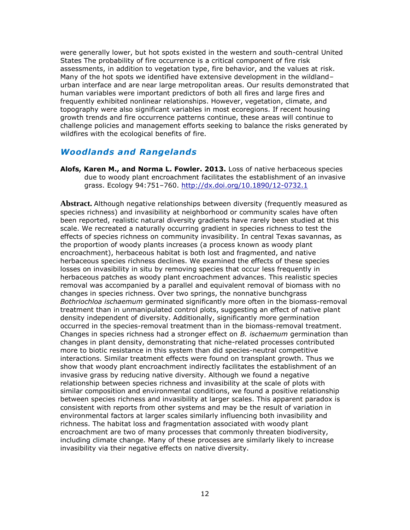were generally lower, but hot spots existed in the western and south-central United States The probability of fire occurrence is a critical component of fire risk assessments, in addition to vegetation type, fire behavior, and the values at risk. Many of the hot spots we identified have extensive development in the wildland– urban interface and are near large metropolitan areas. Our results demonstrated that human variables were important predictors of both all fires and large fires and frequently exhibited nonlinear relationships. However, vegetation, climate, and topography were also significant variables in most ecoregions. If recent housing growth trends and fire occurrence patterns continue, these areas will continue to challenge policies and management efforts seeking to balance the risks generated by wildfires with the ecological benefits of fire.

## *Woodlands and Rangelands*

**Alofs, Karen M., and Norma L. Fowler. 2013.** Loss of native herbaceous species due to woody plant encroachment facilitates the establishment of an invasive grass. Ecology 94:751–760.<http://dx.doi.org/10.1890/12-0732.1>

**Abstract.** Although negative relationships between diversity (frequently measured as species richness) and invasibility at neighborhood or community scales have often been reported, realistic natural diversity gradients have rarely been studied at this scale. We recreated a naturally occurring gradient in species richness to test the effects of species richness on community invasibility. In central Texas savannas, as the proportion of woody plants increases (a process known as woody plant encroachment), herbaceous habitat is both lost and fragmented, and native herbaceous species richness declines. We examined the effects of these species losses on invasibility in situ by removing species that occur less frequently in herbaceous patches as woody plant encroachment advances. This realistic species removal was accompanied by a parallel and equivalent removal of biomass with no changes in species richness. Over two springs, the nonnative bunchgrass *Bothriochloa ischaemum* germinated significantly more often in the biomass-removal treatment than in unmanipulated control plots, suggesting an effect of native plant density independent of diversity. Additionally, significantly more germination occurred in the species-removal treatment than in the biomass-removal treatment. Changes in species richness had a stronger effect on *B. ischaemum* germination than changes in plant density, demonstrating that niche-related processes contributed more to biotic resistance in this system than did species-neutral competitive interactions. Similar treatment effects were found on transplant growth. Thus we show that woody plant encroachment indirectly facilitates the establishment of an invasive grass by reducing native diversity. Although we found a negative relationship between species richness and invasibility at the scale of plots with similar composition and environmental conditions, we found a positive relationship between species richness and invasibility at larger scales. This apparent paradox is consistent with reports from other systems and may be the result of variation in environmental factors at larger scales similarly influencing both invasibility and richness. The habitat loss and fragmentation associated with woody plant encroachment are two of many processes that commonly threaten biodiversity, including climate change. Many of these processes are similarly likely to increase invasibility via their negative effects on native diversity.